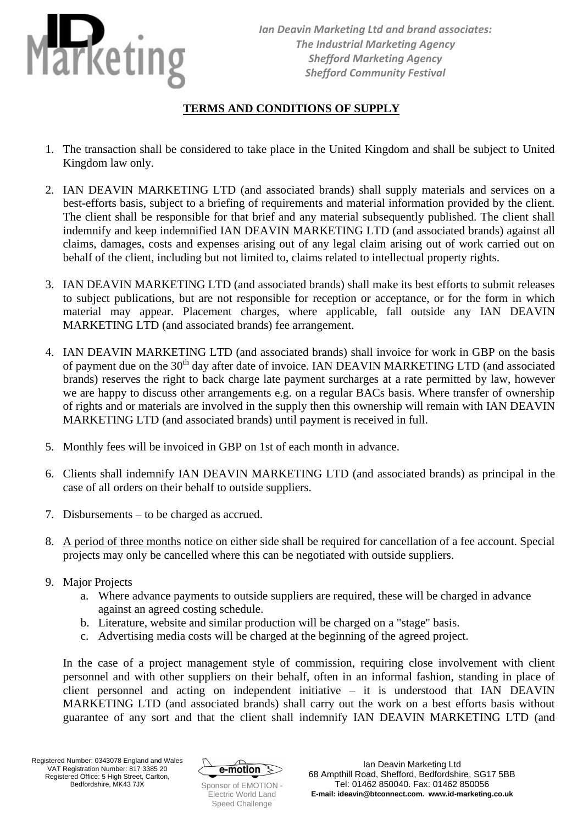

## **TERMS AND CONDITIONS OF SUPPLY**

- 1. The transaction shall be considered to take place in the United Kingdom and shall be subject to United Kingdom law only.
- 2. IAN DEAVIN MARKETING LTD (and associated brands) shall supply materials and services on a best-efforts basis, subject to a briefing of requirements and material information provided by the client. The client shall be responsible for that brief and any material subsequently published. The client shall indemnify and keep indemnified IAN DEAVIN MARKETING LTD (and associated brands) against all claims, damages, costs and expenses arising out of any legal claim arising out of work carried out on behalf of the client, including but not limited to, claims related to intellectual property rights.
- 3. IAN DEAVIN MARKETING LTD (and associated brands) shall make its best efforts to submit releases to subject publications, but are not responsible for reception or acceptance, or for the form in which material may appear. Placement charges, where applicable, fall outside any IAN DEAVIN MARKETING LTD (and associated brands) fee arrangement.
- 4. IAN DEAVIN MARKETING LTD (and associated brands) shall invoice for work in GBP on the basis of payment due on the 30<sup>th</sup> day after date of invoice. IAN DEAVIN MARKETING LTD (and associated brands) reserves the right to back charge late payment surcharges at a rate permitted by law, however we are happy to discuss other arrangements e.g. on a regular BACs basis. Where transfer of ownership of rights and or materials are involved in the supply then this ownership will remain with IAN DEAVIN MARKETING LTD (and associated brands) until payment is received in full.
- 5. Monthly fees will be invoiced in GBP on 1st of each month in advance.
- 6. Clients shall indemnify IAN DEAVIN MARKETING LTD (and associated brands) as principal in the case of all orders on their behalf to outside suppliers.
- 7. Disbursements to be charged as accrued.
- 8. A period of three months notice on either side shall be required for cancellation of a fee account. Special projects may only be cancelled where this can be negotiated with outside suppliers.
- 9. Major Projects
	- a. Where advance payments to outside suppliers are required, these will be charged in advance against an agreed costing schedule.
	- b. Literature, website and similar production will be charged on a "stage" basis.
	- c. Advertising media costs will be charged at the beginning of the agreed project.

In the case of a project management style of commission, requiring close involvement with client personnel and with other suppliers on their behalf, often in an informal fashion, standing in place of client personnel and acting on independent initiative – it is understood that IAN DEAVIN MARKETING LTD (and associated brands) shall carry out the work on a best efforts basis without guarantee of any sort and that the client shall indemnify IAN DEAVIN MARKETING LTD (and



Electric World Land Speed Challenge